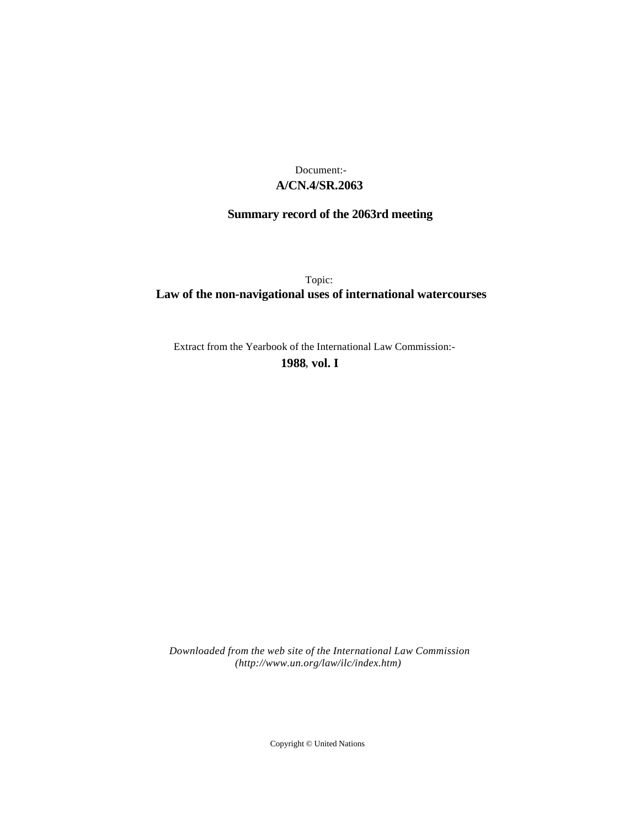## **A/CN.4/SR.2063** Document:-

# **Summary record of the 2063rd meeting**

Topic: **Law of the non-navigational uses of international watercourses**

Extract from the Yearbook of the International Law Commission:-

**1988** , **vol. I**

*Downloaded from the web site of the International Law Commission (http://www.un.org/law/ilc/index.htm)*

Copyright © United Nations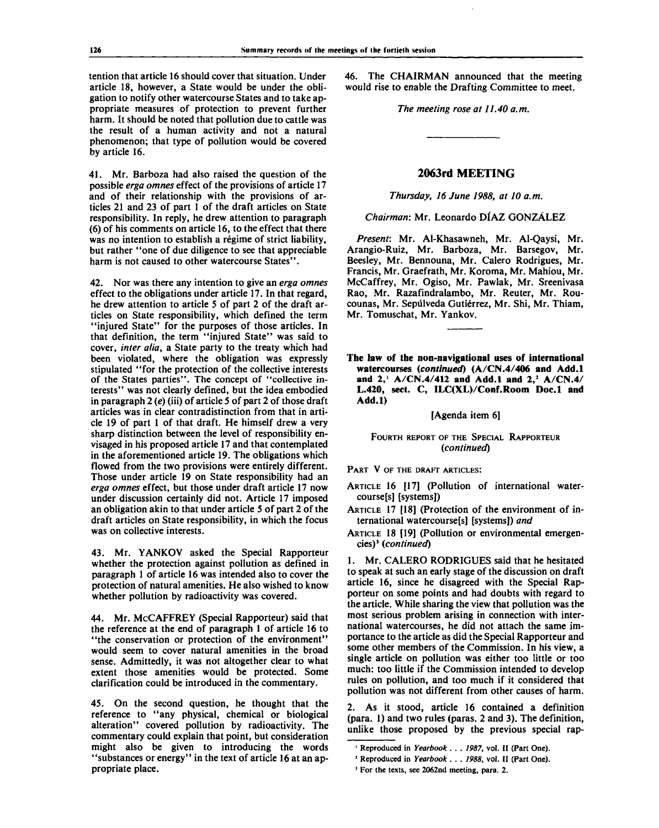tention that article 16 should cover that situation. Under article 18, however, a State would be under the obligation to notify other watercourse States and to take appropriate measures of protection to prevent further harm. It should be noted that pollution due to cattle was the result of a human activity and not a natural phenomenon; that type of pollution would be covered by article 16.

41. Mr. Barboza had also raised the question of the possible *erga omnes* effect of the provisions of article 17 and of their relationship with the provisions of articles 21 and 23 of part 1 of the draft articles on State responsibility. In reply, he drew attention to paragraph (6) of his comments on article 16, to the effect that there was no intention to establish a régime of strict liability, but rather "one of due diligence to see that appreciable harm is not caused to other watercourse States".

42. Nor was there any intention to give an *erga omnes* effect to the obligations under article 17. In that regard, he drew attention to article 5 of part 2 of the draft articles on State responsibility, which defined the term "injured State" for the purposes of those articles. In that definition, the term "injured State" was said to cover, *inter alia,* a State party to the treaty which had been violated, where the obligation was expressly stipulated "for the protection of the collective interests of the States parties". The concept of "collective interests" was not clearly defined, but the idea embodied in paragraph 2 *(e)* (iii) of article 5 of part 2 of those draft articles was in clear contradistinction from that in article 19 of part 1 of that draft. He himself drew a very sharp distinction between the level of responsibility envisaged in his proposed article 17 and that contemplated in the aforementioned article 19. The obligations which flowed from the two provisions were entirely different. Those under article 19 on State responsibility had an *erga omnes* effect, but those under draft article 17 now under discussion certainly did not. Article 17 imposed an obligation akin to that under article 5 of part 2 of the draft articles on State responsibility, in which the focus was on collective interests.

43. Mr. YANKOV asked the Special Rapporteur whether the protection against pollution as defined in paragraph 1 of article 16 was intended also to cover the protection of natural amenities. He also wished to know whether pollution by radioactivity was covered.

44. Mr. McCAFFREY (Special Rapporteur) said that the reference at the end of paragraph 1 of article 16 to "the conservation or protection of the environment" would seem to cover natural amenities in the broad sense. Admittedly, it was not altogether clear to what extent those amenities would be protected. Some clarification could be introduced in the commentary.

45. On the second question, he thought that the reference to "any physical, chemical or biological alteration" covered pollution by radioactivity. The commentary could explain that point, but consideration might also be given to introducing the words "substances or energy" in the text of article 16 at an appropriate place.

46. The CHAIRMAN announced that the meeting would rise to enable the Drafting Committee to meet.

*The meeting rose at 11.40 a.m.*

### **2063rd MEETING**

*Thursday, 16 June 1988, at 10 a.m.*

*Chairman:* Mr. Leonardo DIAZ GONZALEZ

*Present:* Mr. Al-Khasawneh, Mr. Al-Qaysi, Mr. Arangio-Ruiz, Mr. Barboza, Mr. Barsegov, Mr. Beesley, Mr. Bennouna, Mr. Calero Rodrigues, Mr. Francis, Mr. Graefrath, Mr. Koroma, Mr. Mahiou, Mr. McCaffrey, Mr. Ogiso, Mr. Pawlak, Mr. Sreenivasa Rao, Mr. Razafindralambo, Mr. Reuter, Mr. Roucounas, Mr. Sepiilveda Gutierrez, Mr. Shi, Mr. Thiam, Mr. Tomuschat, Mr. Yankov.

**The law of the non-navigational uses of international watercourses** *(continued)* **(A/CN.4/406 and Add.l and 2,<sup>1</sup>** A/CN**.4/412 and Add.l and 2,<sup>2</sup> A/CN.4/ L.420, sect. C, ILC(XL)/Conf.Room Doc.l and Add.l)**

[Agenda item 6]

FOURTH REPORT OF THE SPECIAL RAPPORTEUR *(continued)*

PART V OF THE DRAFT ARTICLES:

ARTICLE 16 [17] (Pollution of international watercourse[s] [systems])

ARTICLE 17 [18] (Protection of the environment of international watercourse[s] [systems]) *and*

ARTICLE 18 [19] (Pollution or environmental emergencies)<sup>3</sup> (continued)

1. Mr. CALERO RODRIGUES said that he hesitated to speak at such an early stage of the discussion on draft article 16, since he disagreed with the Special Rapporteur on some points and had doubts with regard to the article. While sharing the view that pollution was the most serious problem arising in connection with international watercourses, he did not attach the same importance to the article as did the Special Rapporteur and some other members of the Commission. In his view, a single article on pollution was either too little or too much: too little if the Commission intended to develop rules on pollution, and too much if it considered that pollution was not different from other causes of harm.

2. As it stood, article 16 contained a definition (para. 1) and two rules (paras. 2 and 3). The definition, unlike those proposed by the previous special rap-

**<sup>1</sup> Reproduced in** *Yearbook . . . 1987,* **vol. II (Part One).**

**<sup>2</sup> Reproduced in** *Yearbook . . . 1988,* **vol. II (Part One).**

**<sup>&#</sup>x27; For the texts, see 2062nd meeting, para. 2.**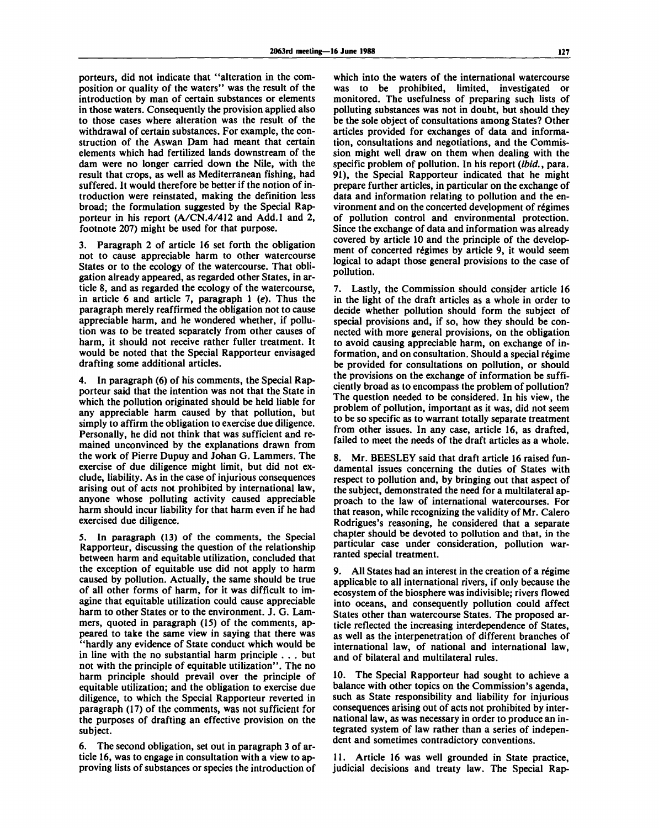porteurs, did not indicate that "alteration in the composition or quality of the waters" was the result of the introduction by man of certain substances or elements in those waters. Consequently the provision applied also to those cases where alteration was the result of the withdrawal of certain substances. For example, the construction of the Aswan Dam had meant that certain elements which had fertilized lands downstream of the dam were no longer carried down the Nile, with the result that crops, as well as Mediterranean fishing, had suffered. It would therefore be better if the notion of introduction were reinstated, making the definition less broad; the formulation suggested by the Special Rapporteur in his report (A/CN.4/412 and Add.l and 2, footnote 207) might be used for that purpose.

3. Paragraph 2 of article 16 set forth the obligation not to cause appreciable harm to other watercourse States or to the ecology of the watercourse. That obligation already appeared, as regarded other States, in article 8, and as regarded the ecology of the watercourse, in article 6 and article 7, paragraph  $1$  (e). Thus the paragraph merely reaffirmed the obligation not to cause appreciable harm, and he wondered whether, if pollution was to be treated separately from other causes of harm, it should not receive rather fuller treatment. It would be noted that the Special Rapporteur envisaged drafting some additional articles.

4. In paragraph (6) of his comments, the Special Rapporteur said that the intention was not that the State in which the pollution originated should be held liable for any appreciable harm caused by that pollution, but simply to affirm the obligation to exercise due diligence. Personally, he did not think that was sufficient and remained unconvinced by the explanations drawn from the work of Pierre Dupuy and Johan G. Lammers. The exercise of due diligence might limit, but did not exclude, liability. As in the case of injurious consequences arising out of acts not prohibited by international law, anyone whose polluting activity caused appreciable harm should incur liability for that harm even if he had exercised due diligence.

5. In paragraph (13) of the comments, the Special Rapporteur, discussing the question of the relationship between harm and equitable utilization, concluded that the exception of equitable use did not apply to harm caused by pollution. Actually, the same should be true of all other forms of harm, for it was difficult to imagine that equitable utilization could cause appreciable harm to other States or to the environment. J. G. Lammers, quoted in paragraph (15) of the comments, appeared to take the same view in saying that there was "hardly any evidence of State conduct which would be in line with the no substantial harm principle . . . but not with the principle of equitable utilization". The no harm principle should prevail over the principle of equitable utilization; and the obligation to exercise due diligence, to which the Special Rapporteur reverted in paragraph (17) of the comments, was not sufficient for the purposes of drafting an effective provision on the subject.

6. The second obligation, set out in paragraph 3 of article 16, was to engage in consultation with a view to approving lists of substances or species the introduction of which into the waters of the international watercourse was to be prohibited, limited, investigated or monitored. The usefulness of preparing such lists of polluting substances was not in doubt, but should they be the sole object of consultations among States? Other articles provided for exchanges of data and information, consultations and negotiations, and the Commission might well draw on them when dealing with the specific problem of pollution. In his report *(ibid.*, para. 91), the Special Rapporteur indicated that he might prepare further articles, in particular on the exchange of data and information relating to pollution and the environment and on the concerted development of regimes of pollution control and environmental protection. Since the exchange of data and information was already covered by article 10 and the principle of the development of concerted régimes by article 9, it would seem logical to adapt those general provisions to the case of pollution.

7. Lastly, the Commission should consider article 16 in the light of the draft articles as a whole in order to decide whether pollution should form the subject of special provisions and, if so, how they should be connected with more general provisions, on the obligation to avoid causing appreciable harm, on exchange of information, and on consultation. Should a special régime be provided for consultations on pollution, or should the provisions on the exchange of information be sufficiently broad as to encompass the problem of pollution? The question needed to be considered. In his view, the problem of pollution, important as it was, did not seem to be so specific as to warrant totally separate treatment from other issues. In any case, article 16, as drafted, failed to meet the needs of the draft articles as a whole.

Mr. BEESLEY said that draft article 16 raised fundamental issues concerning the duties of States with respect to pollution and, by bringing out that aspect of the subject, demonstrated the need for a multilateral approach to the law of international watercourses. For that reason, while recognizing the validity of Mr. Calero Rodrigues's reasoning, he considered that a separate chapter should be devoted to pollution and that, in the particular case under consideration, pollution warranted special treatment.

9. All States had an interest in the creation of a régime applicable to all international rivers, if only because the ecosystem of the biosphere was indivisible; rivers flowed into oceans, and consequently pollution could affect States other than watercourse States. The proposed article reflected the increasing interdependence of States, as well as the interpenetration of different branches of international law, of national and international law, and of bilateral and multilateral rules.

10. The Special Rapporteur had sought to achieve a balance with other topics on the Commission's agenda, such as State responsibility and liability for injurious consequences arising out of acts not prohibited by international law, as was necessary in order to produce an integrated system of law rather than a series of independent and sometimes contradictory conventions.

11. Article 16 was well grounded in State practice, judicial decisions and treaty law. The Special Rap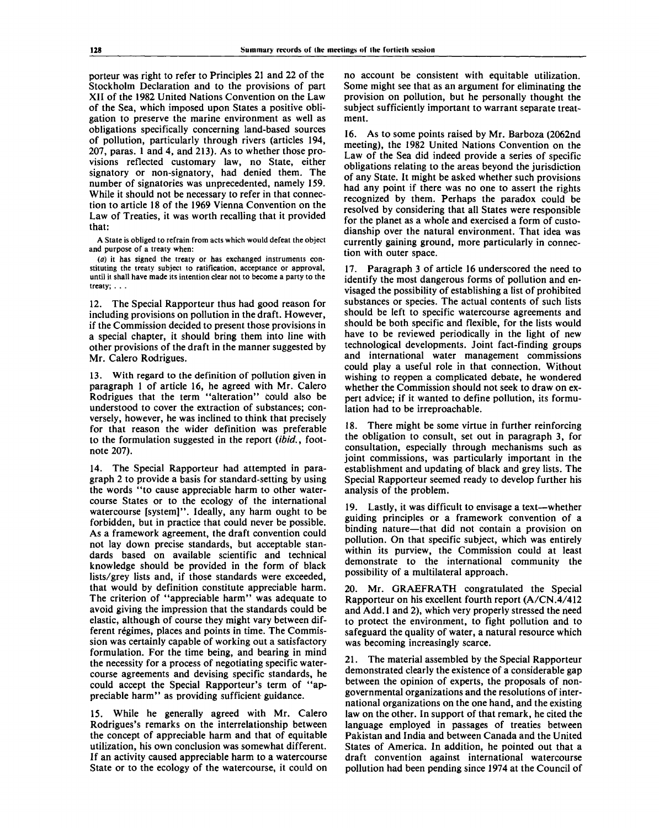porteur was right to refer to Principles 21 and 22 of the Stockholm Declaration and to the provisions of part XII of the 1982 United Nations Convention on the Law of the Sea, which imposed upon States a positive obligation to preserve the marine environment as well as obligations specifically concerning land-based sources of pollution, particularly through rivers (articles 194, 207, paras. 1 and 4, and 213). As to whether those provisions reflected customary law, no State, either signatory or non-signatory, had denied them. The number of signatories was unprecedented, namely 159. While it should not be necessary to refer in that connection to article 18 of the 1969 Vienna Convention on the Law of Treaties, it was worth recalling that it provided that:

**A State is obliged to refrain from acts which would defeat the object and purpose of a treaty when:**

*(a)* **it has signed the treaty or has exchanged instruments constituting the treaty subject to ratification, acceptance or approval, until it shall have made its intention clear not to become a party to the treaty; . . .**

12. The Special Rapporteur thus had good reason for including provisions on pollution in the draft. However, if the Commission decided to present those provisions in a special chapter, it should bring them into line with other provisions of the draft in the manner suggested by Mr. Calero Rodrigues.

With regard to the definition of pollution given in paragraph 1 of article 16, he agreed with Mr. Calero Rodrigues that the term "alteration" could also be understood to cover the extraction of substances; conversely, however, he was inclined to think that precisely for that reason the wider definition was preferable to the formulation suggested in the report *(ibid.,* footnote 207).

14. The Special Rapporteur had attempted in paragraph 2 to provide a basis for standard-setting by using the words "to cause appreciable harm to other watercourse States or to the ecology of the international watercourse [system]". Ideally, any harm ought to be forbidden, but in practice that could never be possible. As a framework agreement, the draft convention could not lay down precise standards, but acceptable standards based on available scientific and technical knowledge should be provided in the form of black lists/grey lists and, if those standards were exceeded, that would by definition constitute appreciable harm. The criterion of "appreciable harm" was adequate to avoid giving the impression that the standards could be elastic, although of course they might vary between different regimes, places and points in time. The Commission was certainly capable of working out a satisfactory formulation. For the time being, and bearing in mind the necessity for a process of negotiating specific watercourse agreements and devising specific standards, he could accept the Special Rapporteur's term of "appreciable harm" as providing sufficient guidance.

15. While he generally agreed with Mr. Calero Rodrigues's remarks on the interrelationship between the concept of appreciable harm and that of equitable utilization, his own conclusion was somewhat different. If an activity caused appreciable harm to a watercourse State or to the ecology of the watercourse, it could on no account be consistent with equitable utilization. Some might see that as an argument for eliminating the provision on pollution, but he personally thought the subject sufficiently important to warrant separate treatment.

16. As to some points raised by Mr. Barboza (2062nd meeting), the 1982 United Nations Convention on the Law of the Sea did indeed provide a series of specific obligations relating to the areas beyond the jurisdiction of any State. It might be asked whether such provisions had any point if there was no one to assert the rights recognized by them. Perhaps the paradox could be resolved by considering that all States were responsible for the planet as a whole and exercised a form of custodianship over the natural environment. That idea was currently gaining ground, more particularly in connection with outer space.

17. Paragraph 3 of article 16 underscored the need to identify the most dangerous forms of pollution and envisaged the possibility of establishing a list of prohibited substances or species. The actual contents of such lists should be left to specific watercourse agreements and should be both specific and flexible, for the lists would have to be reviewed periodically in the light of new technological developments. Joint fact-finding groups and international water management commissions could play a useful role in that connection. Without wishing to reopen a complicated debate, he wondered whether the Commission should not seek to draw on expert advice; if it wanted to define pollution, its formulation had to be irreproachable.

18. There might be some virtue in further reinforcing the obligation to consult, set out in paragraph 3, for consultation, especially through mechanisms such as joint commissions, was particularly important in the establishment and updating of black and grey lists. The Special Rapporteur seemed ready to develop further his analysis of the problem.

19. Lastly, it was difficult to envisage a text—whether guiding principles or a framework convention of a binding nature—that did not contain a provision on pollution. On that specific subject, which was entirely within its purview, the Commission could at least demonstrate to the international community the possibility of a multilateral approach.

20. Mr. GRAEFRATH congratulated the Special Rapporteur on his excellent fourth report (A/CN.4/412 and Add. 1 and 2), which very properly stressed the need to protect the environment, to fight pollution and to safeguard the quality of water, a natural resource which was becoming increasingly scarce.

21. The material assembled by the Special Rapporteur demonstrated clearly the existence of a considerable gap between the opinion of experts, the proposals of nongovernmental organizations and the resolutions of international organizations on the one hand, and the existing law on the other. In support of that remark, he cited the language employed in passages of treaties between Pakistan and India and between Canada and the United States of America. In addition, he pointed out that a draft convention against international watercourse pollution had been pending since 1974 at the Council of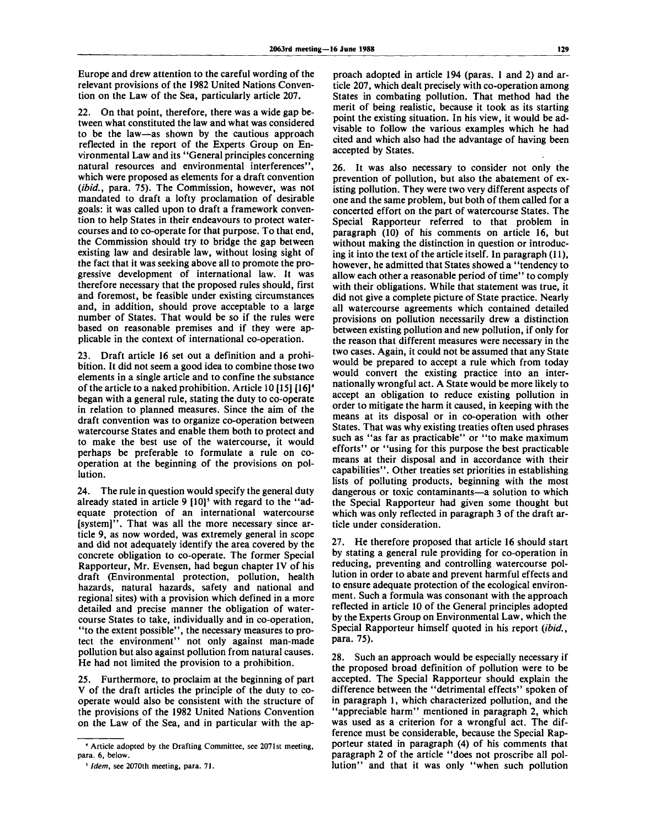Europe and drew attention to the careful wording of the relevant provisions of the 1982 United Nations Convention on the Law of the Sea, particularly article 207.

22. On that point, therefore, there was a wide gap between what constituted the law and what was considered to be the law—as shown by the cautious approach reflected in the report of the Experts Group on Environmental Law and its "General principles concerning natural resources and environmental interferences", which were proposed as elements for a draft convention *{ibid.,* para. 75). The Commission, however, was not mandated to draft a lofty proclamation of desirable goals: it was called upon to draft a framework convention to help States in their endeavours to protect watercourses and to co-operate for that purpose. To that end, the Commission should try to bridge the gap between existing law and desirable law, without losing sight of the fact that it was seeking above all to promote the progressive development of international law. It was therefore necessary that the proposed rules should, first and foremost, be feasible under existing circumstances and, in addition, should prove acceptable to a large number of States. That would be so if the rules were based on reasonable premises and if they were applicable in the context of international co-operation.

23. Draft article 16 set out a definition and a prohibition. It did not seem a good idea to combine those two elements in a single article and to confine the substance of the article to a naked prohibition. Article 10 [15] [16]<sup>4</sup> began with a general rule, stating the duty to co-operate in relation to planned measures. Since the aim of the draft convention was to organize co-operation between watercourse States and enable them both to protect and to make the best use of the watercourse, it would perhaps be preferable to formulate a rule on cooperation at the beginning of the provisions on pollution.

24. The rule in question would specify the general duty already stated in article 9 [10]<sup>5</sup> with regard to the "adequate protection of an international watercourse [system]". That was all the more necessary since article 9, as now worded, was extremely general in scope and did not adequately identify the area covered by the concrete obligation to co-operate. The former Special Rapporteur, Mr. Evensen, had begun chapter IV of his draft (Environmental protection, pollution, health hazards, natural hazards, safety and national and regional sites) with a provision which defined in a more detailed and precise manner the obligation of watercourse States to take, individually and in co-operation, "to the extent possible", the necessary measures to protect the environment" not only against man-made pollution but also against pollution from natural causes. He had not limited the provision to a prohibition.

25. Furthermore, to proclaim at the beginning of part V of the draft articles the principle of the duty to cooperate would also be consistent with the structure of the provisions of the 1982 United Nations Convention on the Law of the Sea, and in particular with the approach adopted in article 194 (paras. 1 and 2) and article 207, which dealt precisely with co-operation among States in combating pollution. That method had the merit of being realistic, because it took as its starting point the existing situation. In his view, it would be advisable to follow the various examples which he had cited and which also had the advantage of having been accepted by States.

26. It was also necessary to consider not only the prevention of pollution, but also the abatement of existing pollution. They were two very different aspects of one and the same problem, but both of them called for a concerted effort on the part of watercourse States. The Special Rapporteur referred to that problem in paragraph (10) of his comments on article 16, but without making the distinction in question or introducing it into the text of the article itself. In paragraph (11), however, he admitted that States showed a "tendency to allow each other a reasonable period of time" to comply with their obligations. While that statement was true, it did not give a complete picture of State practice. Nearly all watercourse agreements which contained detailed provisions on pollution necessarily drew a distinction between existing pollution and new pollution, if only for the reason that different measures were necessary in the two cases. Again, it could not be assumed that any State would be prepared to accept a rule which from today would convert the existing practice into an internationally wrongful act. A State would be more likely to accept an obligation to reduce existing pollution in order to mitigate the harm it caused, in keeping with the means at its disposal or in co-operation with other States. That was why existing treaties often used phrases such as "as far as practicable" or "to make maximum efforts" or "using for this purpose the best practicable means at their disposal and in accordance with their capabilities". Other treaties set priorities in establishing lists of polluting products, beginning with the most dangerous or toxic contaminants—a solution to which the Special Rapporteur had given some thought but which was only reflected in paragraph 3 of the draft article under consideration.

27. He therefore proposed that article 16 should start by stating a general rule providing for co-operation in reducing, preventing and controlling watercourse pollution in order to abate and prevent harmful effects and to ensure adequate protection of the ecological environment. Such a formula was consonant with the approach reflected in article 10 of the General principles adopted by the Experts Group on Environmental Law, which the Special Rapporteur himself quoted in his report *(ibid.*, para. 75).

28. Such an approach would be especially necessary if the proposed broad definition of pollution were to be accepted. The Special Rapporteur should explain the difference between the "detrimental effects" spoken of in paragraph 1, which characterized pollution, and the "appreciable harm" mentioned in paragraph 2, which was used as a criterion for a wrongful act. The difference must be considerable, because the Special Rapporteur stated in paragraph (4) of his comments that paragraph 2 of the article "does not proscribe all pollution" and that it was only "when such pollution

*<sup>4</sup>*  **Article adopted by the Drafting Committee, see 2071st meeting, para. 6, below.**

**<sup>5</sup>**  *Idem,* **see 2070th meeting, para. 71.**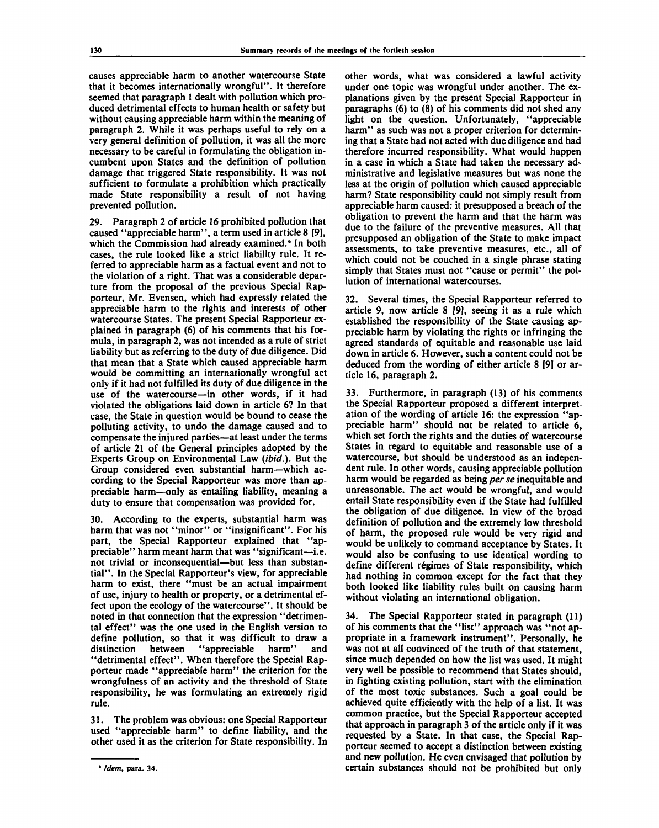causes appreciable harm to another watercourse State that it becomes internationally wrongful". It therefore seemed that paragraph 1 dealt with pollution which produced detrimental effects to human health or safety but without causing appreciable harm within the meaning of paragraph 2. While it was perhaps useful to rely on a very general definition of pollution, it was all the more necessary to be careful in formulating the obligation incumbent upon States and the definition of pollution damage that triggered State responsibility. It was not sufficient to formulate a prohibition which practically made State responsibility a result of not having prevented pollution.

29. Paragraph 2 of article 16 prohibited pollution that caused "appreciable harm", a term used in article 8 [9], which the Commission had already examined.<sup>6</sup> In both cases, the rule looked like a strict liability rule. It referred to appreciable harm as a factual event and not to the violation of a right. That was a considerable departure from the proposal of the previous Special Rapporteur, Mr. Evensen, which had expressly related the appreciable harm to the rights and interests of other watercourse States. The present Special Rapporteur explained in paragraph (6) of his comments that his formula, in paragraph 2, was not intended as a rule of strict liability but as referring to the duty of due diligence. Did that mean that a State which caused appreciable harm would be committing an internationally wrongful act only if it had not fulfilled its duty of due diligence in the use of the watercourse—in other words, if it had violated the obligations laid down in article 6? In that case, the State in question would be bound to cease the polluting activity, to undo the damage caused and to compensate the injured parties—at least under the terms of article 21 of the General principles adopted by the Experts Group on Environmental Law *(ibid.).* But the Group considered even substantial harm—which according to the Special Rapporteur was more than appreciable harm—only as entailing liability, meaning a duty to ensure that compensation was provided for.

30. According to the experts, substantial harm was harm that was not "minor" or "insignificant". For his part, the Special Rapporteur explained that "appreciable" harm meant harm that was "significant—i.e. not trivial or inconsequential—but less than substantial". In the Special Rapporteur's view, for appreciable harm to exist, there "must be an actual impairment of use, injury to health or property, or a detrimental effect upon the ecology of the watercourse". It should be noted in that connection that the expression "detrimental effect" was the one used in the English version to define pollution, so that it was difficult to draw a distinction between "appreciable harm" and "detrimental effect". When therefore the Special Rapporteur made "appreciable harm" the criterion for the wrongfulness of an activity and the threshold of State responsibility, he was formulating an extremely rigid rule.

31. The problem was obvious: one Special Rapporteur used "appreciable harm" to define liability, and the other used it as the criterion for State responsibility. In

other words, what was considered a lawful activity under one topic was wrongful under another. The explanations given by the present Special Rapporteur in paragraphs (6) to (8) of his comments did not shed any light on the question. Unfortunately, "appreciable harm" as such was not a proper criterion for determining that a State had not acted with due diligence and had therefore incurred responsibility. What would happen in a case in which a State had taken the necessary administrative and legislative measures but was none the less at the origin of pollution which caused appreciable harm? State responsibility could not simply result from appreciable harm caused: it presupposed a breach of the obligation to prevent the harm and that the harm was due to the failure of the preventive measures. All that presupposed an obligation of the State to make impact assessments, to take preventive measures, etc., all of which could not be couched in a single phrase stating simply that States must not "cause or permit" the pollution of international watercourses.

32. Several times, the Special Rapporteur referred to article 9, now article 8 [9], seeing it as a rule which established the responsibility of the State causing appreciable harm by violating the rights or infringing the agreed standards of equitable and reasonable use laid down in article 6. However, such a content could not be deduced from the wording of either article 8 [9] or article 16, paragraph 2.

33. Furthermore, in paragraph (13) of his comments the Special Rapporteur proposed a different interpretation of the wording of article 16: the expression "appreciable harm" should not be related to article 6, which set forth the rights and the duties of watercourse States in regard to equitable and reasonable use of a watercourse, but should be understood as an independent rule. In other words, causing appreciable pollution harm would be regarded as being *per se* inequitable and unreasonable. The act would be wrongful, and would entail State responsibility even if the State had fulfilled the obligation of due diligence. In view of the broad definition of pollution and the extremely low threshold of harm, the proposed rule would be very rigid and would be unlikely to command acceptance by States. It would also be confusing to use identical wording to define different régimes of State responsibility, which had nothing in common except for the fact that they both looked like liability rules built on causing harm without violating an international obligation.

34. The Special Rapporteur stated in paragraph (11) of his comments that the "list" approach was "not appropriate in a framework instrument". Personally, he was not at all convinced of the truth of that statement, since much depended on how the list was used. It might very well be possible to recommend that States should, in fighting existing pollution, start with the elimination of the most toxic substances. Such a goal could be achieved quite efficiently with the help of a list. It was common practice, but the Special Rapporteur accepted that approach in paragraph 3 of the article only if it was requested by a State. In that case, the Special Rapporteur seemed to accept a distinction between existing and new pollution. He even envisaged that pollution by certain substances should not be prohibited but only

**<sup>6</sup> Idem, para. 34.**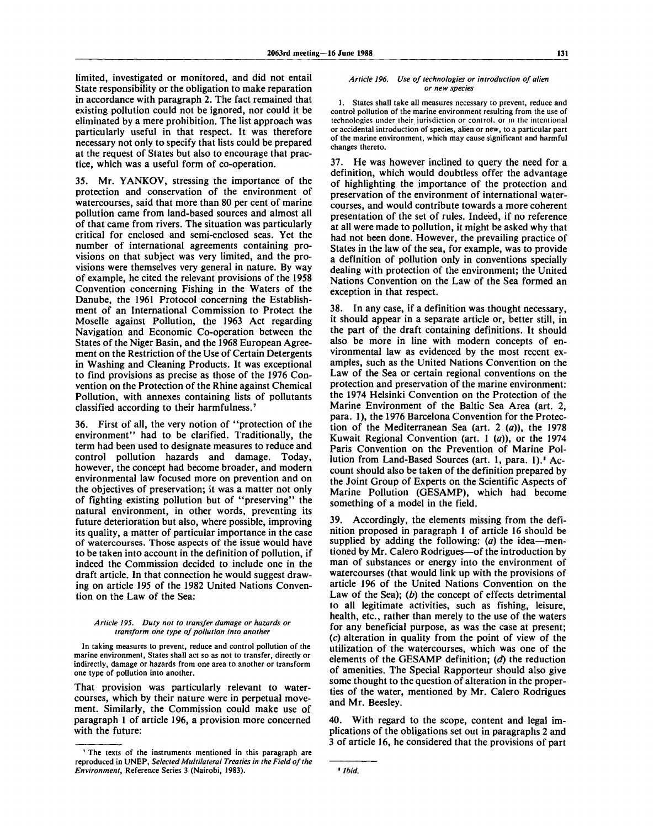limited, investigated or monitored, and did not entail State responsibility or the obligation to make reparation in accordance with paragraph 2. The fact remained that existing pollution could not be ignored, nor could it be eliminated by a mere prohibition. The list approach was particularly useful in that respect. It was therefore necessary not only to specify that lists could be prepared at the request of States but also to encourage that practice, which was a useful form of co-operation.

35. Mr. YANKOV, stressing the importance of the protection and conservation of the environment of watercourses, said that more than 80 per cent of marine pollution came from land-based sources and almost all of that came from rivers. The situation was particularly critical for enclosed and semi-enclosed seas. Yet the number of international agreements containing provisions on that subject was very limited, and the provisions were themselves very general in nature. By way of example, he cited the relevant provisions of the 1958 Convention concerning Fishing in the Waters of the Danube, the 1961 Protocol concerning the Establishment of an International Commission to Protect the Moselle against Pollution, the 1963 Act regarding Navigation and Economic Co-operation between the States of the Niger Basin, and the 1968 European Agreement on the Restriction of the Use of Certain Detergents in Washing and Cleaning Products. It was exceptional to find provisions as precise as those of the 1976 Convention on the Protection of the Rhine against Chemical Pollution, with annexes containing lists of pollutants classified according to their harmfulness.<sup>7</sup>

36. First of all, the very notion of "protection of the environment" had to be clarified. Traditionally, the term had been used to designate measures to reduce and control pollution hazards and damage. Today, however, the concept had become broader, and modern environmental law focused more on prevention and on the objectives of preservation; it was a matter not only of fighting existing pollution but of "preserving" the natural environment, in other words, preventing its future deterioration but also, where possible, improving its quality, a matter of particular importance in the case of watercourses. Those aspects of the issue would have to be taken into account in the definition of pollution, if indeed the Commission decided to include one in the draft article. In that connection he would suggest drawing on article 195 of the 1982 United Nations Convention on the Law of the Sea:

#### *Article 195. Duty not to transfer damage or hazards or transform one type of pollution into another*

In taking measures to prevent, reduce and control pollution of the marine environment, States shall act so as not to transfer, directly or indirectly, damage or hazards from one area to another or transform one type of pollution into another.

That provision was particularly relevant to watercourses, which by their nature were in perpetual movement. Similarly, the Commission could make use of paragraph 1 of article 196, a provision more concerned with the future:

#### *Article 196. Use of technologies or introduction of alien or new species*

1. States shall take all measures necessary to prevent, reduce and control pollution of the marine environment resulting from the use of technologies under their jurisdiction or control, or in the intentional or accidental introduction of species, alien or new, to a particular part of the marine environment, which may cause significant and harmful changes thereto.

37. He was however inclined to query the need for a definition, which would doubtless offer the advantage of highlighting the importance of the protection and preservation of the environment of international watercourses, and would contribute towards a more coherent presentation of the set of rules. Indeed, if no reference at all were made to pollution, it might be asked why that had not been done. However, the prevailing practice of States in the law of the sea, for example, was to provide a definition of pollution only in conventions specially dealing with protection of the environment; the United Nations Convention on the Law of the Sea formed an exception in that respect.

38. In any case, if a definition was thought necessary, it should appear in a separate article or, better still, in the part of the draft containing definitions. It should also be more in line with modern concepts of environmental law as evidenced by the most recent examples, such as the United Nations Convention on the Law of the Sea or certain regional conventions on the protection and preservation of the marine environment: the 1974 Helsinki Convention on the Protection of the Marine Environment of the Baltic Sea Area (art. 2, para. 1), the 1976 Barcelona Convention for the Protection of the Mediterranean Sea (art. 2 *(a)),* the 1978 Kuwait Regional Convention (art. 1 *(a)),* or the 1974 Paris Convention on the Prevention of Marine Pollution from Land-Based Sources (art. 1, para. 1).' Account should also be taken of the definition prepared by the Joint Group of Experts on the Scientific Aspects of Marine Pollution (GESAMP), which had become something of a model in the field.

39. Accordingly, the elements missing from the definition proposed in paragraph 1 of article 16 should be supplied by adding the following: *(a)* the idea—mentioned by Mr. Calero Rodrigues—of the introduction by man of substances or energy into the environment of watercourses (that would link up with the provisions of article 196 of the United Nations Convention on the Law of the Sea); *{b)* the concept of effects detrimental to all legitimate activities, such as fishing, leisure, health, etc., rather than merely to the use of the waters for any beneficial purpose, as was the case at present; (c) alteration in quality from the point of view of the utilization of the watercourses, which was one of the elements of the GESAMP definition; *(d)* the reduction of amenities. The Special Rapporteur should also give some thought to the question of alteration in the properties of the water, mentioned by Mr. Calero Rodrigues and Mr. Beesley.

40. With regard to the scope, content and legal implications of the obligations set out in paragraphs 2 and 3 of article 16, he considered that the provisions of part

<sup>7</sup> The texts of the instruments mentioned in this paragraph are reproduced in UNEP, *Selected Multilateral Treaties in the Field of the Environment,* Reference Series 3 (Nairobi, 1983).

Ibid.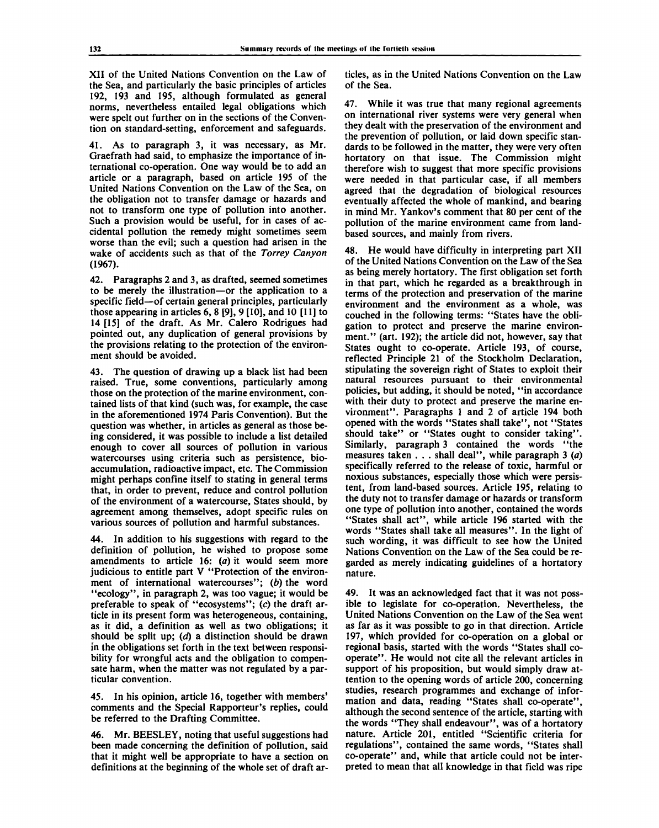XII of the United Nations Convention on the Law of the Sea, and particularly the basic principles of articles 192, 193 and 195, although formulated as general norms, nevertheless entailed legal obligations which were spelt out further on in the sections of the Convention on standard-setting, enforcement and safeguards.

41. As to paragraph 3, it was necessary, as Mr. Graefrath had said, to emphasize the importance of international co-operation. One way would be to add an article or a paragraph, based on article 195 of the United Nations Convention on the Law of the Sea, on the obligation not to transfer damage or hazards and not to transform one type of pollution into another. Such a provision would be useful, for in cases of accidental pollution the remedy might sometimes seem worse than the evil; such a question had arisen in the wake of accidents such as that of the *Torrey Canyon* (1967).

42. Paragraphs 2 and 3, as drafted, seemed sometimes to be merely the illustration—or the application to a specific field—of certain general principles, particularly those appearing in articles 6, 8 [9], 9 [10], and 10 [11] to 14 [15] of the draft. As Mr. Calero Rodrigues had pointed out, any duplication of general provisions by the provisions relating to the protection of the environment should be avoided.

43. The question of drawing up a black list had been raised. True, some conventions, particularly among those on the protection of the marine environment, contained lists of that kind (such was, for example, the case in the aforementioned 1974 Paris Convention). But the question was whether, in articles as general as those being considered, it was possible to include a list detailed enough to cover all sources of pollution in various watercourses using criteria such as persistence, bioaccumulation, radioactive impact, etc. The Commission might perhaps confine itself to stating in general terms that, in order to prevent, reduce and control pollution of the environment of a watercourse, States should, by agreement among themselves, adopt specific rules on various sources of pollution and harmful substances.

44. In addition to his suggestions with regard to the definition of pollution, he wished to propose some amendments to article 16: *(a)* it would seem more judicious to entitle part V "Protection of the environment of international watercourses"; *(b)* the word "ecology", in paragraph 2, was too vague; it would be preferable to speak of "ecosystems"; (c) the draft article in its present form was heterogeneous, containing, as it did, a definition as well as two obligations; it should be split up; *(d)* a distinction should be drawn in the obligations set forth in the text between responsibility for wrongful acts and the obligation to compensate harm, when the matter was not regulated by a particular convention.

45. In his opinion, article 16, together with members' comments and the Special Rapporteur's replies, could be referred to the Drafting Committee.

46. Mr. BEESLEY, noting that useful suggestions had been made concerning the definition of pollution, said that it might well be appropriate to have a section on definitions at the beginning of the whole set of draft articles, as in the United Nations Convention on the Law of the Sea.

47. While it was true that many regional agreements on international river systems were very general when they dealt with the preservation of the environment and the prevention of pollution, or laid down specific standards to be followed in the matter, they were very often hortatory on that issue. The Commission might therefore wish to suggest that more specific provisions were needed in that particular case, if all members agreed that the degradation of biological resources eventually affected the whole of mankind, and bearing in mind Mr. Yankov's comment that 80 per cent of the pollution of the marine environment came from landbased sources, and mainly from rivers.

48. He would have difficulty in interpreting part XII of the United Nations Convention on the Law of the Sea as being merely hortatory. The first obligation set forth in that part, which he regarded as a breakthrough in terms of the protection and preservation of the marine environment and the environment as a whole, was couched in the following terms: "States have the obligation to protect and preserve the marine environment." (art. 192); the article did not, however, say that States ought to co-operate. Article 193, of course, reflected Principle 21 of the Stockholm Declaration, stipulating the sovereign right of States to exploit their natural resources pursuant to their environmental policies, but adding, it should be noted, "in accordance with their duty to protect and preserve the marine environment". Paragraphs 1 and 2 of article 194 both opened with the words "States shall take", not "States should take" or "States ought to consider taking". Similarly, paragraph 3 contained the words "the measures taken  $\dots$  shall deal", while paragraph 3 (*a*) specifically referred to the release of toxic, harmful or noxious substances, especially those which were persistent, from land-based sources. Article 195, relating to the duty not to transfer damage or hazards or transform one type of pollution into another, contained the words "States shall act", while article 196 started with the words "States shall take all measures". In the light of such wording, it was difficult to see how the United Nations Convention on the Law of the Sea could be regarded as merely indicating guidelines of a hortatory nature.

49. It was an acknowledged fact that it was not possible to legislate for co-operation. Nevertheless, the United Nations Convention on the Law of the Sea went as far as it was possible to go in that direction. Article 197, which provided for co-operation on a global or regional basis, started with the words "States shall cooperate". He would not cite all the relevant articles in support of his proposition, but would simply draw attention to the opening words of article 200, concerning studies, research programmes and exchange of information and data, reading "States shall co-operate", although the second sentence of the article, starting with the words "They shall endeavour", was of a hortatory nature. Article 201, entitled "Scientific criteria for regulations", contained the same words, "States shall co-operate" and, while that article could not be interpreted to mean that all knowledge in that field was ripe